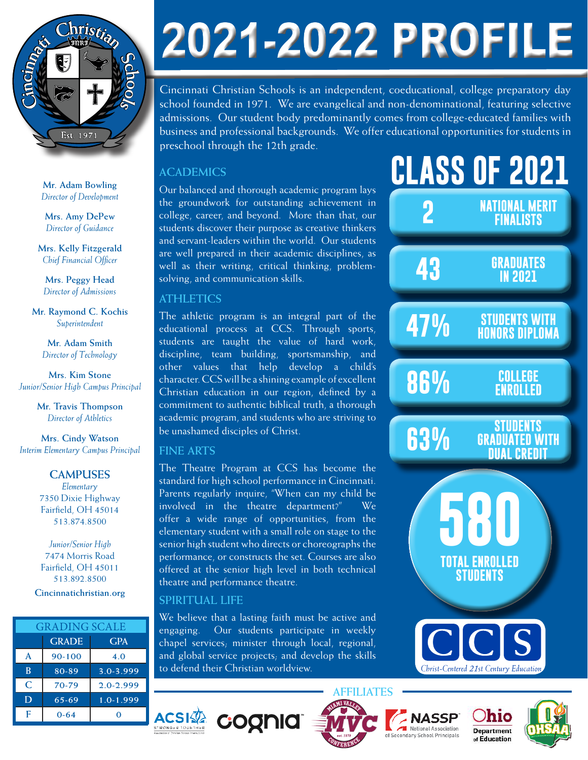

**Mr. Adam Bowling** *Director of Development*

**Mrs. Amy DePew** *Director of Guidance*

**Mrs. Kelly Fitzgerald** *Chief Financial Officer*

**Mrs. Peggy Head** *Director of Admissions*

**Mr. Raymond C. Kochis** *Superintendent*

> **Mr. Adam Smith** *Director of Technology*

**Mrs. Kim Stone** *Junior/Senior High Campus Principal*

> **Mr. Travis Thompson** *Director of Athletics*

**Mrs. Cindy Watson** *Interim Elementary Campus Principal*

# **CAMPUSES**

*Elementary* 7350 Dixie Highway Fairfield, OH 45014 513.874.8500

*Junior/Senior High* 7474 Morris Road Fairfield, OH 45011 513.892.8500 **Cincinnatichristian.org**

| <b>GRADING SCALE</b> |              |               |
|----------------------|--------------|---------------|
|                      | <b>GRADE</b> | <b>GPA</b>    |
| A                    | 90-100       | 4.0           |
| B                    | 80-89        | 3.0-3.999     |
| C                    | 70-79        | $2.0 - 2.999$ |
| D                    | $65 - 69$    | $1.0 - 1.999$ |
| F                    | $0 - 64$     |               |

# 2021-2022 PROFILE

Cincinnati Christian Schools is an independent, coeducational, college preparatory day school founded in 1971. We are evangelical and non-denominational, featuring selective admissions. Our student body predominantly comes from college-educated families with business and professional backgrounds. We offer educational opportunities for students in preschool through the 12th grade.

# **ACADEMICS**

Our balanced and thorough academic program lays the groundwork for outstanding achievement in college, career, and beyond. More than that, our students discover their purpose as creative thinkers and servant-leaders within the world. Our students are well prepared in their academic disciplines, as well as their writing, critical thinking, problemsolving, and communication skills.

# **ATHLETICS**

The athletic program is an integral part of the educational process at CCS. Through sports, students are taught the value of hard work, discipline, team building, sportsmanship, and other values that help develop a child's character. CCS will be a shining example of excellent Christian education in our region, defined by a commitment to authentic biblical truth, a thorough academic program, and students who are striving to be unashamed disciples of Christ.

### **FINE ARTS**

The Theatre Program at CCS has become the standard for high school performance in Cincinnati. Parents regularly inquire, "When can my child be involved in the theatre department?" We offer a wide range of opportunities, from the elementary student with a small role on stage to the senior high student who directs or choreographs the performance, or constructs the set. Courses are also offered at the senior high level in both technical theatre and performance theatre.

# **SPIRITUAL LIFE**

**ACSI** 

We believe that a lasting faith must be active and engaging. Our students participate in weekly chapel services; minister through local, regional, and global service projects; and develop the skills to defend their Christian worldview.

cognia